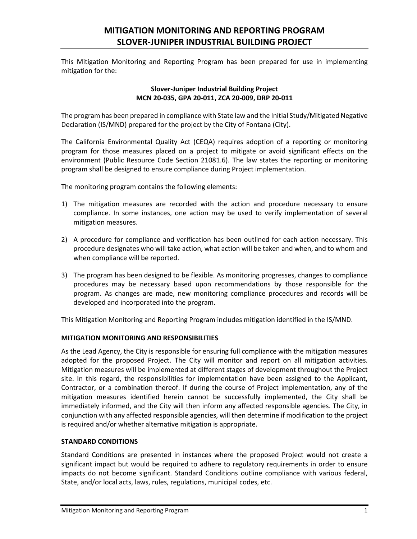This Mitigation Monitoring and Reporting Program has been prepared for use in implementing mitigation for the:

#### **Slover-Juniper Industrial Building Project MCN 20-035, GPA 20-011, ZCA 20-009, DRP 20-011**

The program has been prepared in compliance with State law and the Initial Study/Mitigated Negative Declaration (IS/MND) prepared for the project by the City of Fontana (City).

The California Environmental Quality Act (CEQA) requires adoption of a reporting or monitoring program for those measures placed on a project to mitigate or avoid significant effects on the environment (Public Resource Code Section 21081.6). The law states the reporting or monitoring program shall be designed to ensure compliance during Project implementation.

The monitoring program contains the following elements:

- 1) The mitigation measures are recorded with the action and procedure necessary to ensure compliance. In some instances, one action may be used to verify implementation of several mitigation measures.
- 2) A procedure for compliance and verification has been outlined for each action necessary. This procedure designates who will take action, what action will be taken and when, and to whom and when compliance will be reported.
- 3) The program has been designed to be flexible. As monitoring progresses, changes to compliance procedures may be necessary based upon recommendations by those responsible for the program. As changes are made, new monitoring compliance procedures and records will be developed and incorporated into the program.

This Mitigation Monitoring and Reporting Program includes mitigation identified in the IS/MND.

#### **MITIGATION MONITORING AND RESPONSIBILITIES**

As the Lead Agency, the City is responsible for ensuring full compliance with the mitigation measures adopted for the proposed Project. The City will monitor and report on all mitigation activities. Mitigation measures will be implemented at different stages of development throughout the Project site. In this regard, the responsibilities for implementation have been assigned to the Applicant, Contractor, or a combination thereof. If during the course of Project implementation, any of the mitigation measures identified herein cannot be successfully implemented, the City shall be immediately informed, and the City will then inform any affected responsible agencies. The City, in conjunction with any affected responsible agencies, will then determine if modification to the project is required and/or whether alternative mitigation is appropriate.

#### **STANDARD CONDITIONS**

Standard Conditions are presented in instances where the proposed Project would not create a significant impact but would be required to adhere to regulatory requirements in order to ensure impacts do not become significant. Standard Conditions outline compliance with various federal, State, and/or local acts, laws, rules, regulations, municipal codes, etc.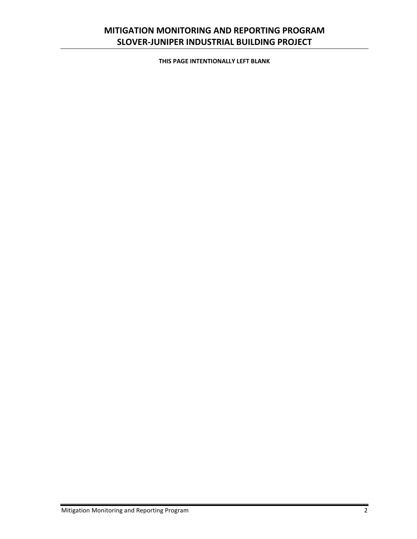**THIS PAGE INTENTIONALLY LEFT BLANK**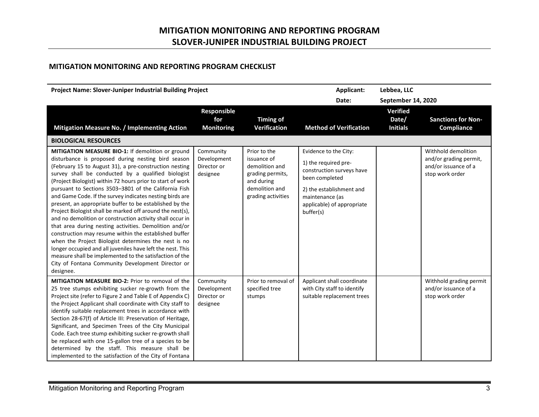#### **MITIGATION MONITORING AND REPORTING PROGRAM CHECKLIST**

| Project Name: Slover-Juniper Industrial Building Project                                                                                                                                                                                                                                                                                                                                                                                                                                                                                                                                                                                                                                                                                                                                                                                                                                                                                                              |                                                     |                                                                                                                         | Applicant:                                                                                                                                                                             | Lebbea, LLC                          |                                                                                          |
|-----------------------------------------------------------------------------------------------------------------------------------------------------------------------------------------------------------------------------------------------------------------------------------------------------------------------------------------------------------------------------------------------------------------------------------------------------------------------------------------------------------------------------------------------------------------------------------------------------------------------------------------------------------------------------------------------------------------------------------------------------------------------------------------------------------------------------------------------------------------------------------------------------------------------------------------------------------------------|-----------------------------------------------------|-------------------------------------------------------------------------------------------------------------------------|----------------------------------------------------------------------------------------------------------------------------------------------------------------------------------------|--------------------------------------|------------------------------------------------------------------------------------------|
|                                                                                                                                                                                                                                                                                                                                                                                                                                                                                                                                                                                                                                                                                                                                                                                                                                                                                                                                                                       |                                                     |                                                                                                                         | Date:                                                                                                                                                                                  | <b>September 14, 2020</b>            |                                                                                          |
| <b>Mitigation Measure No. / Implementing Action</b>                                                                                                                                                                                                                                                                                                                                                                                                                                                                                                                                                                                                                                                                                                                                                                                                                                                                                                                   | Responsible<br>for<br><b>Monitoring</b>             | <b>Timing of</b><br><b>Verification</b>                                                                                 | <b>Method of Verification</b>                                                                                                                                                          | Verified<br>Date/<br><b>Initials</b> | <b>Sanctions for Non-</b><br>Compliance                                                  |
| <b>BIOLOGICAL RESOURCES</b>                                                                                                                                                                                                                                                                                                                                                                                                                                                                                                                                                                                                                                                                                                                                                                                                                                                                                                                                           |                                                     |                                                                                                                         |                                                                                                                                                                                        |                                      |                                                                                          |
| MITIGATION MEASURE BIO-1: If demolition or ground<br>disturbance is proposed during nesting bird season<br>(February 15 to August 31), a pre-construction nesting<br>survey shall be conducted by a qualified biologist<br>(Project Biologist) within 72 hours prior to start of work<br>pursuant to Sections 3503-3801 of the California Fish<br>and Game Code. If the survey indicates nesting birds are<br>present, an appropriate buffer to be established by the<br>Project Biologist shall be marked off around the nest(s),<br>and no demolition or construction activity shall occur in<br>that area during nesting activities. Demolition and/or<br>construction may resume within the established buffer<br>when the Project Biologist determines the nest is no<br>longer occupied and all juveniles have left the nest. This<br>measure shall be implemented to the satisfaction of the<br>City of Fontana Community Development Director or<br>designee. | Community<br>Development<br>Director or<br>designee | Prior to the<br>issuance of<br>demolition and<br>grading permits,<br>and during<br>demolition and<br>grading activities | Evidence to the City:<br>1) the required pre-<br>construction surveys have<br>been completed<br>2) the establishment and<br>maintenance (as<br>applicable) of appropriate<br>buffer(s) |                                      | Withhold demolition<br>and/or grading permit,<br>and/or issuance of a<br>stop work order |
| MITIGATION MEASURE BIO-2: Prior to removal of the<br>25 tree stumps exhibiting sucker re-growth from the<br>Project site (refer to Figure 2 and Table E of Appendix C)<br>the Project Applicant shall coordinate with City staff to<br>identify suitable replacement trees in accordance with<br>Section 28-67(f) of Article III: Preservation of Heritage,<br>Significant, and Specimen Trees of the City Municipal<br>Code. Each tree stump exhibiting sucker re-growth shall<br>be replaced with one 15-gallon tree of a species to be<br>determined by the staff. This measure shall be<br>implemented to the satisfaction of the City of Fontana                                                                                                                                                                                                                                                                                                                 | Community<br>Development<br>Director or<br>designee | Prior to removal of<br>specified tree<br>stumps                                                                         | Applicant shall coordinate<br>with City staff to identify<br>suitable replacement trees                                                                                                |                                      | Withhold grading permit<br>and/or issuance of a<br>stop work order                       |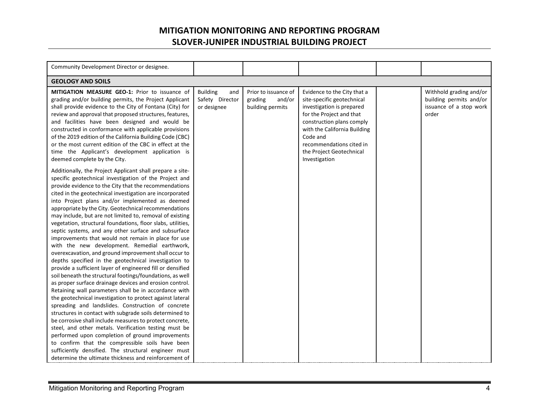| Community Development Director or designee.                                                                                                                                                                                                                                                                                                                                                                                                                                                                                                                                                                                                                                                                                                                                                                                                                                                                                                                                                                                                                                                                                                                                                                                                                                                                                                                             |                                                          |                                                               |                                                                                                                                                                                                                                                                      |                                                                                        |
|-------------------------------------------------------------------------------------------------------------------------------------------------------------------------------------------------------------------------------------------------------------------------------------------------------------------------------------------------------------------------------------------------------------------------------------------------------------------------------------------------------------------------------------------------------------------------------------------------------------------------------------------------------------------------------------------------------------------------------------------------------------------------------------------------------------------------------------------------------------------------------------------------------------------------------------------------------------------------------------------------------------------------------------------------------------------------------------------------------------------------------------------------------------------------------------------------------------------------------------------------------------------------------------------------------------------------------------------------------------------------|----------------------------------------------------------|---------------------------------------------------------------|----------------------------------------------------------------------------------------------------------------------------------------------------------------------------------------------------------------------------------------------------------------------|----------------------------------------------------------------------------------------|
| <b>GEOLOGY AND SOILS</b>                                                                                                                                                                                                                                                                                                                                                                                                                                                                                                                                                                                                                                                                                                                                                                                                                                                                                                                                                                                                                                                                                                                                                                                                                                                                                                                                                |                                                          |                                                               |                                                                                                                                                                                                                                                                      |                                                                                        |
| MITIGATION MEASURE GEO-1: Prior to issuance of<br>grading and/or building permits, the Project Applicant<br>shall provide evidence to the City of Fontana (City) for<br>review and approval that proposed structures, features,<br>and facilities have been designed and would be<br>constructed in conformance with applicable provisions<br>of the 2019 edition of the California Building Code (CBC)<br>or the most current edition of the CBC in effect at the<br>time the Applicant's development application is<br>deemed complete by the City.                                                                                                                                                                                                                                                                                                                                                                                                                                                                                                                                                                                                                                                                                                                                                                                                                   | <b>Building</b><br>and<br>Safety Director<br>or designee | Prior to issuance of<br>grading<br>and/or<br>building permits | Evidence to the City that a<br>site-specific geotechnical<br>investigation is prepared<br>for the Project and that<br>construction plans comply<br>with the California Building<br>Code and<br>recommendations cited in<br>the Project Geotechnical<br>Investigation | Withhold grading and/or<br>building permits and/or<br>issuance of a stop work<br>order |
| Additionally, the Project Applicant shall prepare a site-<br>specific geotechnical investigation of the Project and<br>provide evidence to the City that the recommendations<br>cited in the geotechnical investigation are incorporated<br>into Project plans and/or implemented as deemed<br>appropriate by the City. Geotechnical recommendations<br>may include, but are not limited to, removal of existing<br>vegetation, structural foundations, floor slabs, utilities,<br>septic systems, and any other surface and subsurface<br>improvements that would not remain in place for use<br>with the new development. Remedial earthwork,<br>overexcavation, and ground improvement shall occur to<br>depths specified in the geotechnical investigation to<br>provide a sufficient layer of engineered fill or densified<br>soil beneath the structural footings/foundations, as well<br>as proper surface drainage devices and erosion control.<br>Retaining wall parameters shall be in accordance with<br>the geotechnical investigation to protect against lateral<br>spreading and landslides. Construction of concrete<br>structures in contact with subgrade soils determined to<br>be corrosive shall include measures to protect concrete,<br>steel, and other metals. Verification testing must be<br>performed upon completion of ground improvements |                                                          |                                                               |                                                                                                                                                                                                                                                                      |                                                                                        |
| to confirm that the compressible soils have been<br>sufficiently densified. The structural engineer must<br>determine the ultimate thickness and reinforcement of                                                                                                                                                                                                                                                                                                                                                                                                                                                                                                                                                                                                                                                                                                                                                                                                                                                                                                                                                                                                                                                                                                                                                                                                       |                                                          |                                                               |                                                                                                                                                                                                                                                                      |                                                                                        |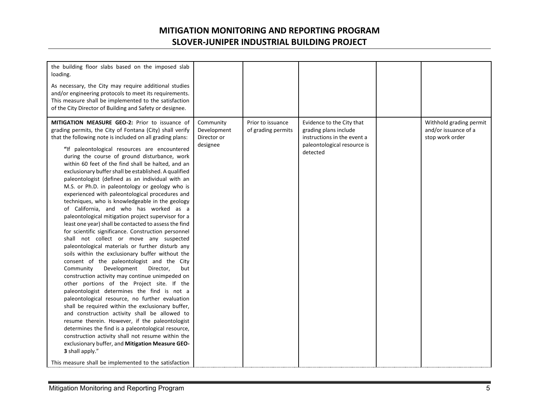| the building floor slabs based on the imposed slab<br>loading.                                                                                                                                                                                                                                                                                                                                                                                                                                                                                                                                                                                                                                                                                                                                                                                                                                                                                                                                                                                                                                                                                                                                                                                                                                                                                                                                                                                                                                                                                                                                                                                                                |                                                     |                                         |                                                                                                                              |                                                                    |
|-------------------------------------------------------------------------------------------------------------------------------------------------------------------------------------------------------------------------------------------------------------------------------------------------------------------------------------------------------------------------------------------------------------------------------------------------------------------------------------------------------------------------------------------------------------------------------------------------------------------------------------------------------------------------------------------------------------------------------------------------------------------------------------------------------------------------------------------------------------------------------------------------------------------------------------------------------------------------------------------------------------------------------------------------------------------------------------------------------------------------------------------------------------------------------------------------------------------------------------------------------------------------------------------------------------------------------------------------------------------------------------------------------------------------------------------------------------------------------------------------------------------------------------------------------------------------------------------------------------------------------------------------------------------------------|-----------------------------------------------------|-----------------------------------------|------------------------------------------------------------------------------------------------------------------------------|--------------------------------------------------------------------|
| As necessary, the City may require additional studies<br>and/or engineering protocols to meet its requirements.<br>This measure shall be implemented to the satisfaction<br>of the City Director of Building and Safety or designee.                                                                                                                                                                                                                                                                                                                                                                                                                                                                                                                                                                                                                                                                                                                                                                                                                                                                                                                                                                                                                                                                                                                                                                                                                                                                                                                                                                                                                                          |                                                     |                                         |                                                                                                                              |                                                                    |
| MITIGATION MEASURE GEO-2: Prior to issuance of<br>grading permits, the City of Fontana (City) shall verify<br>that the following note is included on all grading plans:<br>"If paleontological resources are encountered<br>during the course of ground disturbance, work<br>within 60 feet of the find shall be halted, and an<br>exclusionary buffer shall be established. A qualified<br>paleontologist (defined as an individual with an<br>M.S. or Ph.D. in paleontology or geology who is<br>experienced with paleontological procedures and<br>techniques, who is knowledgeable in the geology<br>of California, and who has worked as a<br>paleontological mitigation project supervisor for a<br>least one year) shall be contacted to assess the find<br>for scientific significance. Construction personnel<br>shall not collect or move any suspected<br>paleontological materials or further disturb any<br>soils within the exclusionary buffer without the<br>consent of the paleontologist and the City<br>Development<br>Community<br>Director,<br>but<br>construction activity may continue unimpeded on<br>other portions of the Project site. If the<br>paleontologist determines the find is not a<br>paleontological resource, no further evaluation<br>shall be required within the exclusionary buffer,<br>and construction activity shall be allowed to<br>resume therein. However, if the paleontologist<br>determines the find is a paleontological resource,<br>construction activity shall not resume within the<br>exclusionary buffer, and Mitigation Measure GEO-<br>3 shall apply."<br>This measure shall be implemented to the satisfaction | Community<br>Development<br>Director or<br>designee | Prior to issuance<br>of grading permits | Evidence to the City that<br>grading plans include<br>instructions in the event a<br>paleontological resource is<br>detected | Withhold grading permit<br>and/or issuance of a<br>stop work order |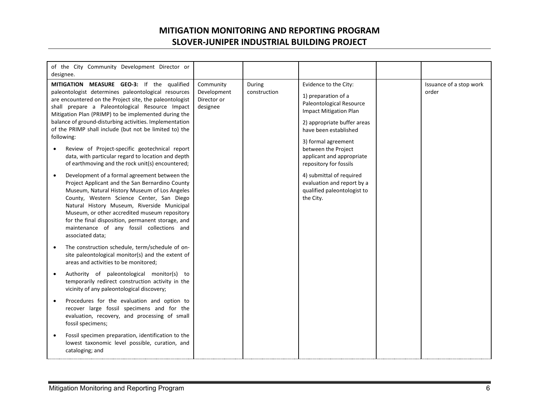|            | of the City Community Development Director or                                                                                                                                                                                                                                                                                                                                                                        |                                                     |  |                                                                                                                                                                                                                                                                                                  |  |                                  |
|------------|----------------------------------------------------------------------------------------------------------------------------------------------------------------------------------------------------------------------------------------------------------------------------------------------------------------------------------------------------------------------------------------------------------------------|-----------------------------------------------------|--|--------------------------------------------------------------------------------------------------------------------------------------------------------------------------------------------------------------------------------------------------------------------------------------------------|--|----------------------------------|
| designee.  |                                                                                                                                                                                                                                                                                                                                                                                                                      |                                                     |  |                                                                                                                                                                                                                                                                                                  |  |                                  |
| following: | MITIGATION MEASURE GEO-3: If the qualified<br>paleontologist determines paleontological resources<br>are encountered on the Project site, the paleontologist<br>shall prepare a Paleontological Resource Impact<br>Mitigation Plan (PRIMP) to be implemented during the<br>balance of ground-disturbing activities. Implementation<br>of the PRIMP shall include (but not be limited to) the                         | Community<br>Development<br>Director or<br>designee |  | During<br>Evidence to the City:<br>construction<br>1) preparation of a<br>Paleontological Resource<br><b>Impact Mitigation Plan</b><br>2) appropriate buffer areas<br>have been established<br>3) formal agreement<br>between the Project<br>applicant and appropriate<br>repository for fossils |  | Issuance of a stop work<br>order |
|            | Review of Project-specific geotechnical report<br>data, with particular regard to location and depth<br>of earthmoving and the rock unit(s) encountered;                                                                                                                                                                                                                                                             |                                                     |  |                                                                                                                                                                                                                                                                                                  |  |                                  |
|            | Development of a formal agreement between the<br>Project Applicant and the San Bernardino County<br>Museum, Natural History Museum of Los Angeles<br>County, Western Science Center, San Diego<br>Natural History Museum, Riverside Municipal<br>Museum, or other accredited museum repository<br>for the final disposition, permanent storage, and<br>maintenance of any fossil collections and<br>associated data; |                                                     |  | 4) submittal of required<br>evaluation and report by a<br>qualified paleontologist to<br>the City.                                                                                                                                                                                               |  |                                  |
|            | The construction schedule, term/schedule of on-<br>site paleontological monitor(s) and the extent of<br>areas and activities to be monitored;                                                                                                                                                                                                                                                                        |                                                     |  |                                                                                                                                                                                                                                                                                                  |  |                                  |
|            | Authority of paleontological monitor(s) to<br>temporarily redirect construction activity in the<br>vicinity of any paleontological discovery;                                                                                                                                                                                                                                                                        |                                                     |  |                                                                                                                                                                                                                                                                                                  |  |                                  |
|            | Procedures for the evaluation and option to<br>recover large fossil specimens and for the<br>evaluation, recovery, and processing of small<br>fossil specimens;                                                                                                                                                                                                                                                      |                                                     |  |                                                                                                                                                                                                                                                                                                  |  |                                  |
|            | Fossil specimen preparation, identification to the<br>lowest taxonomic level possible, curation, and<br>cataloging; and                                                                                                                                                                                                                                                                                              |                                                     |  |                                                                                                                                                                                                                                                                                                  |  |                                  |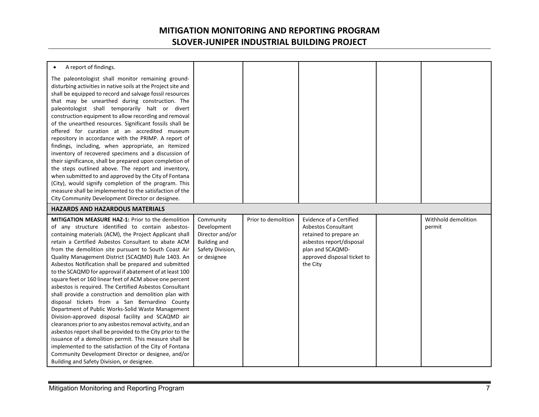| A report of findings.                                                                                                                                                                                                                                                                                                                                                                                                                                                                                                                                                                                                                                                                                                                                                                                                                                                                                                                                                                                                                                                                                                                                          |                                                                                                       |                     |                                                                                                                                                                            |                               |
|----------------------------------------------------------------------------------------------------------------------------------------------------------------------------------------------------------------------------------------------------------------------------------------------------------------------------------------------------------------------------------------------------------------------------------------------------------------------------------------------------------------------------------------------------------------------------------------------------------------------------------------------------------------------------------------------------------------------------------------------------------------------------------------------------------------------------------------------------------------------------------------------------------------------------------------------------------------------------------------------------------------------------------------------------------------------------------------------------------------------------------------------------------------|-------------------------------------------------------------------------------------------------------|---------------------|----------------------------------------------------------------------------------------------------------------------------------------------------------------------------|-------------------------------|
| The paleontologist shall monitor remaining ground-<br>disturbing activities in native soils at the Project site and<br>shall be equipped to record and salvage fossil resources<br>that may be unearthed during construction. The<br>paleontologist shall temporarily halt or divert<br>construction equipment to allow recording and removal<br>of the unearthed resources. Significant fossils shall be<br>offered for curation at an accredited museum<br>repository in accordance with the PRIMP. A report of<br>findings, including, when appropriate, an itemized<br>inventory of recovered specimens and a discussion of<br>their significance, shall be prepared upon completion of<br>the steps outlined above. The report and inventory,<br>when submitted to and approved by the City of Fontana<br>(City), would signify completion of the program. This<br>measure shall be implemented to the satisfaction of the                                                                                                                                                                                                                                |                                                                                                       |                     |                                                                                                                                                                            |                               |
| City Community Development Director or designee.                                                                                                                                                                                                                                                                                                                                                                                                                                                                                                                                                                                                                                                                                                                                                                                                                                                                                                                                                                                                                                                                                                               |                                                                                                       |                     |                                                                                                                                                                            |                               |
| <b>HAZARDS AND HAZARDOUS MATERIALS</b>                                                                                                                                                                                                                                                                                                                                                                                                                                                                                                                                                                                                                                                                                                                                                                                                                                                                                                                                                                                                                                                                                                                         |                                                                                                       |                     |                                                                                                                                                                            |                               |
| <b>MITIGATION MEASURE HAZ-1: Prior to the demolition</b><br>of any structure identified to contain asbestos-<br>containing materials (ACM), the Project Applicant shall<br>retain a Certified Asbestos Consultant to abate ACM<br>from the demolition site pursuant to South Coast Air<br>Quality Management District (SCAQMD) Rule 1403. An<br>Asbestos Notification shall be prepared and submitted<br>to the SCAQMD for approval if abatement of at least 100<br>square feet or 160 linear feet of ACM above one percent<br>asbestos is required. The Certified Asbestos Consultant<br>shall provide a construction and demolition plan with<br>disposal tickets from a San Bernardino County<br>Department of Public Works-Solid Waste Management<br>Division-approved disposal facility and SCAQMD air<br>clearances prior to any asbestos removal activity, and an<br>asbestos report shall be provided to the City prior to the<br>issuance of a demolition permit. This measure shall be<br>implemented to the satisfaction of the City of Fontana<br>Community Development Director or designee, and/or<br>Building and Safety Division, or designee. | Community<br>Development<br>Director and/or<br><b>Building and</b><br>Safety Division,<br>or designee | Prior to demolition | Evidence of a Certified<br><b>Asbestos Consultant</b><br>retained to prepare an<br>asbestos report/disposal<br>plan and SCAQMD-<br>approved disposal ticket to<br>the City | Withhold demolition<br>permit |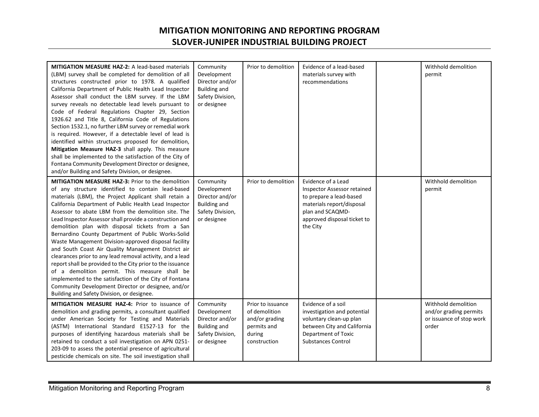| <b>MITIGATION MEASURE HAZ-2: A lead-based materials</b><br>(LBM) survey shall be completed for demolition of all<br>structures constructed prior to 1978. A qualified<br>California Department of Public Health Lead Inspector<br>Assessor shall conduct the LBM survey. If the LBM<br>survey reveals no detectable lead levels pursuant to<br>Code of Federal Regulations Chapter 29, Section<br>1926.62 and Title 8, California Code of Regulations<br>Section 1532.1, no further LBM survey or remedial work<br>is required. However, if a detectable level of lead is<br>identified within structures proposed for demolition,<br>Mitigation Measure HAZ-3 shall apply. This measure<br>shall be implemented to the satisfaction of the City of<br>Fontana Community Development Director or designee,<br>and/or Building and Safety Division, or designee.                                                | Community<br>Development<br>Director and/or<br><b>Building and</b><br>Safety Division,<br>or designee | Prior to demolition                                                                           | Evidence of a lead-based<br>materials survey with<br>recommendations                                                                                                     | Withhold demolition<br>permit                                                      |
|----------------------------------------------------------------------------------------------------------------------------------------------------------------------------------------------------------------------------------------------------------------------------------------------------------------------------------------------------------------------------------------------------------------------------------------------------------------------------------------------------------------------------------------------------------------------------------------------------------------------------------------------------------------------------------------------------------------------------------------------------------------------------------------------------------------------------------------------------------------------------------------------------------------|-------------------------------------------------------------------------------------------------------|-----------------------------------------------------------------------------------------------|--------------------------------------------------------------------------------------------------------------------------------------------------------------------------|------------------------------------------------------------------------------------|
| MITIGATION MEASURE HAZ-3: Prior to the demolition<br>of any structure identified to contain lead-based<br>materials (LBM), the Project Applicant shall retain a<br>California Department of Public Health Lead Inspector<br>Assessor to abate LBM from the demolition site. The<br>Lead Inspector Assessor shall provide a construction and<br>demolition plan with disposal tickets from a San<br>Bernardino County Department of Public Works-Solid<br>Waste Management Division-approved disposal facility<br>and South Coast Air Quality Management District air<br>clearances prior to any lead removal activity, and a lead<br>report shall be provided to the City prior to the issuance<br>of a demolition permit. This measure shall be<br>implemented to the satisfaction of the City of Fontana<br>Community Development Director or designee, and/or<br>Building and Safety Division, or designee. | Community<br>Development<br>Director and/or<br><b>Building and</b><br>Safety Division,<br>or designee | Prior to demolition                                                                           | Evidence of a Lead<br>Inspector Assessor retained<br>to prepare a lead-based<br>materials report/disposal<br>plan and SCAQMD-<br>approved disposal ticket to<br>the City | Withhold demolition<br>permit                                                      |
| MITIGATION MEASURE HAZ-4: Prior to issuance of<br>demolition and grading permits, a consultant qualified<br>under American Society for Testing and Materials<br>(ASTM) International Standard E1527-13 for the<br>purposes of identifying hazardous materials shall be<br>retained to conduct a soil investigation on APN 0251-<br>203-09 to assess the potential presence of agricultural<br>pesticide chemicals on site. The soil investigation shall                                                                                                                                                                                                                                                                                                                                                                                                                                                        | Community<br>Development<br>Director and/or<br><b>Building and</b><br>Safety Division,<br>or designee | Prior to issuance<br>of demolition<br>and/or grading<br>permits and<br>during<br>construction | Evidence of a soil<br>investigation and potential<br>voluntary clean-up plan<br>between City and California<br>Department of Toxic<br><b>Substances Control</b>          | Withhold demolition<br>and/or grading permits<br>or issuance of stop work<br>order |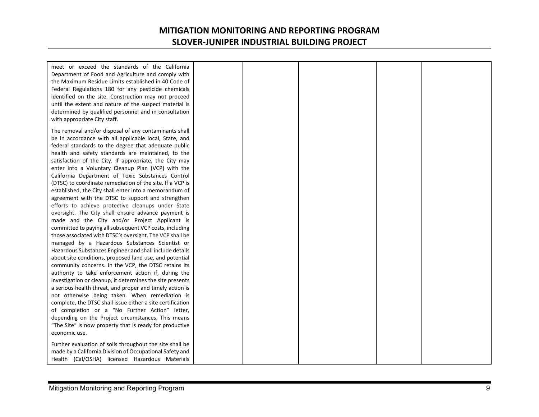| meet or exceed the standards of the California<br>Department of Food and Agriculture and comply with<br>the Maximum Residue Limits established in 40 Code of<br>Federal Regulations 180 for any pesticide chemicals<br>identified on the site. Construction may not proceed<br>until the extent and nature of the suspect material is<br>determined by qualified personnel and in consultation<br>with appropriate City staff.                                                                                                                                                                                                       |  |  |  |
|--------------------------------------------------------------------------------------------------------------------------------------------------------------------------------------------------------------------------------------------------------------------------------------------------------------------------------------------------------------------------------------------------------------------------------------------------------------------------------------------------------------------------------------------------------------------------------------------------------------------------------------|--|--|--|
| The removal and/or disposal of any contaminants shall<br>be in accordance with all applicable local, State, and<br>federal standards to the degree that adequate public<br>health and safety standards are maintained, to the<br>satisfaction of the City. If appropriate, the City may<br>enter into a Voluntary Cleanup Plan (VCP) with the<br>California Department of Toxic Substances Control<br>(DTSC) to coordinate remediation of the site. If a VCP is<br>established, the City shall enter into a memorandum of<br>agreement with the DTSC to support and strengthen<br>efforts to achieve protective cleanups under State |  |  |  |
| oversight. The City shall ensure advance payment is<br>made and the City and/or Project Applicant is<br>committed to paying all subsequent VCP costs, including<br>those associated with DTSC's oversight. The VCP shall be<br>managed by a Hazardous Substances Scientist or<br>Hazardous Substances Engineer and shall include details<br>about site conditions, proposed land use, and potential<br>community concerns. In the VCP, the DTSC retains its<br>authority to take enforcement action if, during the                                                                                                                   |  |  |  |
| investigation or cleanup, it determines the site presents<br>a serious health threat, and proper and timely action is<br>not otherwise being taken. When remediation is<br>complete, the DTSC shall issue either a site certification<br>of completion or a "No Further Action" letter,<br>depending on the Project circumstances. This means<br>"The Site" is now property that is ready for productive<br>economic use.                                                                                                                                                                                                            |  |  |  |
| Further evaluation of soils throughout the site shall be<br>made by a California Division of Occupational Safety and<br>Health (Cal/OSHA) licensed Hazardous Materials                                                                                                                                                                                                                                                                                                                                                                                                                                                               |  |  |  |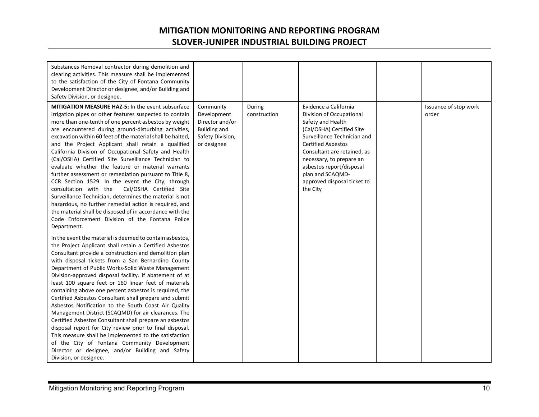| Substances Removal contractor during demolition and<br>clearing activities. This measure shall be implemented<br>to the satisfaction of the City of Fontana Community<br>Development Director or designee, and/or Building and<br>Safety Division, or designee.                                                                                                                                                                                                                                                                                                                                                                                                                                                                                                                                                                                                                                                                                               |                                                                                                       |                        |                                                                                                                                                                                                                                                                                                                       |                                |
|---------------------------------------------------------------------------------------------------------------------------------------------------------------------------------------------------------------------------------------------------------------------------------------------------------------------------------------------------------------------------------------------------------------------------------------------------------------------------------------------------------------------------------------------------------------------------------------------------------------------------------------------------------------------------------------------------------------------------------------------------------------------------------------------------------------------------------------------------------------------------------------------------------------------------------------------------------------|-------------------------------------------------------------------------------------------------------|------------------------|-----------------------------------------------------------------------------------------------------------------------------------------------------------------------------------------------------------------------------------------------------------------------------------------------------------------------|--------------------------------|
| <b>MITIGATION MEASURE HAZ-5: In the event subsurface</b><br>irrigation pipes or other features suspected to contain<br>more than one-tenth of one percent asbestos by weight<br>are encountered during ground-disturbing activities,<br>excavation within 60 feet of the material shall be halted,<br>and the Project Applicant shall retain a qualified<br>California Division of Occupational Safety and Health<br>(Cal/OSHA) Certified Site Surveillance Technician to<br>evaluate whether the feature or material warrants<br>further assessment or remediation pursuant to Title 8,<br>CCR Section 1529. In the event the City, through<br>consultation with the<br>Cal/OSHA Certified Site<br>Surveillance Technician, determines the material is not<br>hazardous, no further remedial action is required, and<br>the material shall be disposed of in accordance with the<br>Code Enforcement Division of the Fontana Police<br>Department.           | Community<br>Development<br>Director and/or<br><b>Building and</b><br>Safety Division,<br>or designee | During<br>construction | Evidence a California<br>Division of Occupational<br>Safety and Health<br>(Cal/OSHA) Certified Site<br>Surveillance Technician and<br><b>Certified Asbestos</b><br>Consultant are retained, as<br>necessary, to prepare an<br>asbestos report/disposal<br>plan and SCAQMD-<br>approved disposal ticket to<br>the City | Issuance of stop work<br>order |
| In the event the material is deemed to contain asbestos,<br>the Project Applicant shall retain a Certified Asbestos<br>Consultant provide a construction and demolition plan<br>with disposal tickets from a San Bernardino County<br>Department of Public Works-Solid Waste Management<br>Division-approved disposal facility. If abatement of at<br>least 100 square feet or 160 linear feet of materials<br>containing above one percent asbestos is required, the<br>Certified Asbestos Consultant shall prepare and submit<br>Asbestos Notification to the South Coast Air Quality<br>Management District (SCAQMD) for air clearances. The<br>Certified Asbestos Consultant shall prepare an asbestos<br>disposal report for City review prior to final disposal.<br>This measure shall be implemented to the satisfaction<br>of the City of Fontana Community Development<br>Director or designee, and/or Building and Safety<br>Division, or designee. |                                                                                                       |                        |                                                                                                                                                                                                                                                                                                                       |                                |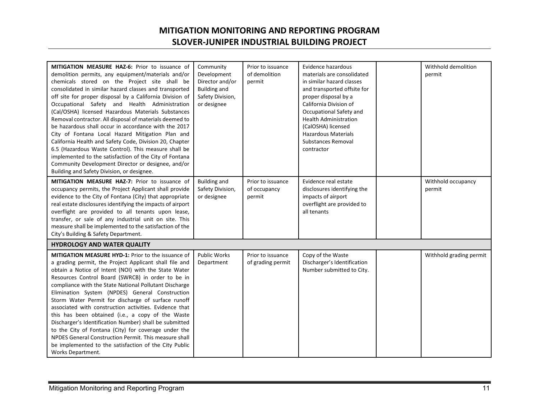| MITIGATION MEASURE HAZ-6: Prior to issuance of<br>demolition permits, any equipment/materials and/or<br>chemicals stored on the Project site shall be<br>consolidated in similar hazard classes and transported<br>off site for proper disposal by a California Division of<br>Occupational Safety and Health Administration<br>(Cal/OSHA) licensed Hazardous Materials Substances<br>Removal contractor. All disposal of materials deemed to<br>be hazardous shall occur in accordance with the 2017<br>City of Fontana Local Hazard Mitigation Plan and<br>California Health and Safety Code, Division 20, Chapter<br>6.5 (Hazardous Waste Control). This measure shall be<br>implemented to the satisfaction of the City of Fontana<br>Community Development Director or designee, and/or<br>Building and Safety Division, or designee. | Community<br>Development<br>Director and/or<br><b>Building and</b><br>Safety Division,<br>or designee | Prior to issuance<br>of demolition<br>permit | Evidence hazardous<br>materials are consolidated<br>in similar hazard classes<br>and transported offsite for<br>proper disposal by a<br>California Division of<br>Occupational Safety and<br><b>Health Administration</b><br>(CalOSHA) licensed<br><b>Hazardous Materials</b><br><b>Substances Removal</b><br>contractor | Withhold demolition<br>permit |
|--------------------------------------------------------------------------------------------------------------------------------------------------------------------------------------------------------------------------------------------------------------------------------------------------------------------------------------------------------------------------------------------------------------------------------------------------------------------------------------------------------------------------------------------------------------------------------------------------------------------------------------------------------------------------------------------------------------------------------------------------------------------------------------------------------------------------------------------|-------------------------------------------------------------------------------------------------------|----------------------------------------------|--------------------------------------------------------------------------------------------------------------------------------------------------------------------------------------------------------------------------------------------------------------------------------------------------------------------------|-------------------------------|
| MITIGATION MEASURE HAZ-7: Prior to issuance of<br>occupancy permits, the Project Applicant shall provide<br>evidence to the City of Fontana (City) that appropriate<br>real estate disclosures identifying the impacts of airport<br>overflight are provided to all tenants upon lease,<br>transfer, or sale of any industrial unit on site. This<br>measure shall be implemented to the satisfaction of the<br>City's Building & Safety Department.                                                                                                                                                                                                                                                                                                                                                                                       | <b>Building and</b><br>Safety Division,<br>or designee                                                | Prior to issuance<br>of occupancy<br>permit  | Evidence real estate<br>disclosures identifying the<br>impacts of airport<br>overflight are provided to<br>all tenants                                                                                                                                                                                                   | Withhold occupancy<br>permit  |
| <b>HYDROLOGY AND WATER QUALITY</b>                                                                                                                                                                                                                                                                                                                                                                                                                                                                                                                                                                                                                                                                                                                                                                                                         |                                                                                                       |                                              |                                                                                                                                                                                                                                                                                                                          |                               |
| MITIGATION MEASURE HYD-1: Prior to the issuance of<br>a grading permit, the Project Applicant shall file and<br>obtain a Notice of Intent (NOI) with the State Water<br>Resources Control Board (SWRCB) in order to be in<br>compliance with the State National Pollutant Discharge<br>Elimination System (NPDES) General Construction<br>Storm Water Permit for discharge of surface runoff<br>associated with construction activities. Evidence that<br>this has been obtained (i.e., a copy of the Waste<br>Discharger's Identification Number) shall be submitted<br>to the City of Fontana (City) for coverage under the<br>NPDES General Construction Permit. This measure shall<br>be implemented to the satisfaction of the City Public<br>Works Department.                                                                       | <b>Public Works</b><br>Department                                                                     | Prior to issuance<br>of grading permit       | Copy of the Waste<br>Discharger's Identification<br>Number submitted to City.                                                                                                                                                                                                                                            | Withhold grading permit       |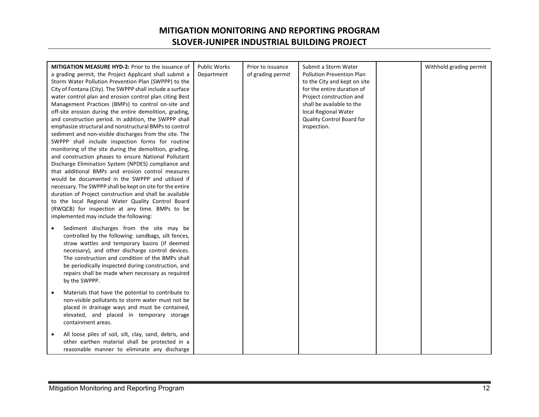| <b>Public Works</b><br>Prior to issuance<br>Submit a Storm Water<br>Withhold grading permit<br>MITIGATION MEASURE HYD-2: Prior to the issuance of<br>a grading permit, the Project Applicant shall submit a<br>of grading permit<br><b>Pollution Prevention Plan</b><br>Department<br>Storm Water Pollution Prevention Plan (SWPPP) to the<br>to the City and kept on site<br>City of Fontana (City). The SWPPP shall include a surface<br>for the entire duration of<br>water control plan and erosion control plan citing Best<br>Project construction and<br>Management Practices (BMPs) to control on-site and<br>shall be available to the<br>off-site erosion during the entire demolition, grading,<br>local Regional Water |
|------------------------------------------------------------------------------------------------------------------------------------------------------------------------------------------------------------------------------------------------------------------------------------------------------------------------------------------------------------------------------------------------------------------------------------------------------------------------------------------------------------------------------------------------------------------------------------------------------------------------------------------------------------------------------------------------------------------------------------|
|                                                                                                                                                                                                                                                                                                                                                                                                                                                                                                                                                                                                                                                                                                                                    |
|                                                                                                                                                                                                                                                                                                                                                                                                                                                                                                                                                                                                                                                                                                                                    |
|                                                                                                                                                                                                                                                                                                                                                                                                                                                                                                                                                                                                                                                                                                                                    |
|                                                                                                                                                                                                                                                                                                                                                                                                                                                                                                                                                                                                                                                                                                                                    |
|                                                                                                                                                                                                                                                                                                                                                                                                                                                                                                                                                                                                                                                                                                                                    |
|                                                                                                                                                                                                                                                                                                                                                                                                                                                                                                                                                                                                                                                                                                                                    |
|                                                                                                                                                                                                                                                                                                                                                                                                                                                                                                                                                                                                                                                                                                                                    |
| and construction period. In addition, the SWPPP shall<br>Quality Control Board for                                                                                                                                                                                                                                                                                                                                                                                                                                                                                                                                                                                                                                                 |
| emphasize structural and nonstructural BMPs to control<br>inspection.                                                                                                                                                                                                                                                                                                                                                                                                                                                                                                                                                                                                                                                              |
| sediment and non-visible discharges from the site. The                                                                                                                                                                                                                                                                                                                                                                                                                                                                                                                                                                                                                                                                             |
| SWPPP shall include inspection forms for routine                                                                                                                                                                                                                                                                                                                                                                                                                                                                                                                                                                                                                                                                                   |
| monitoring of the site during the demolition, grading,                                                                                                                                                                                                                                                                                                                                                                                                                                                                                                                                                                                                                                                                             |
| and construction phases to ensure National Pollutant                                                                                                                                                                                                                                                                                                                                                                                                                                                                                                                                                                                                                                                                               |
| Discharge Elimination System (NPDES) compliance and                                                                                                                                                                                                                                                                                                                                                                                                                                                                                                                                                                                                                                                                                |
| that additional BMPs and erosion control measures                                                                                                                                                                                                                                                                                                                                                                                                                                                                                                                                                                                                                                                                                  |
| would be documented in the SWPPP and utilized if                                                                                                                                                                                                                                                                                                                                                                                                                                                                                                                                                                                                                                                                                   |
| necessary. The SWPPP shall be kept on site for the entire                                                                                                                                                                                                                                                                                                                                                                                                                                                                                                                                                                                                                                                                          |
| duration of Project construction and shall be available                                                                                                                                                                                                                                                                                                                                                                                                                                                                                                                                                                                                                                                                            |
| to the local Regional Water Quality Control Board                                                                                                                                                                                                                                                                                                                                                                                                                                                                                                                                                                                                                                                                                  |
| (RWQCB) for inspection at any time. BMPs to be                                                                                                                                                                                                                                                                                                                                                                                                                                                                                                                                                                                                                                                                                     |
| implemented may include the following:                                                                                                                                                                                                                                                                                                                                                                                                                                                                                                                                                                                                                                                                                             |
|                                                                                                                                                                                                                                                                                                                                                                                                                                                                                                                                                                                                                                                                                                                                    |
| Sediment discharges from the site may be                                                                                                                                                                                                                                                                                                                                                                                                                                                                                                                                                                                                                                                                                           |
| controlled by the following: sandbags, silt fences,                                                                                                                                                                                                                                                                                                                                                                                                                                                                                                                                                                                                                                                                                |
| straw wattles and temporary basins (if deemed                                                                                                                                                                                                                                                                                                                                                                                                                                                                                                                                                                                                                                                                                      |
| necessary), and other discharge control devices.                                                                                                                                                                                                                                                                                                                                                                                                                                                                                                                                                                                                                                                                                   |
| The construction and condition of the BMPs shall                                                                                                                                                                                                                                                                                                                                                                                                                                                                                                                                                                                                                                                                                   |
| be periodically inspected during construction, and                                                                                                                                                                                                                                                                                                                                                                                                                                                                                                                                                                                                                                                                                 |
| repairs shall be made when necessary as required                                                                                                                                                                                                                                                                                                                                                                                                                                                                                                                                                                                                                                                                                   |
| by the SWPPP.                                                                                                                                                                                                                                                                                                                                                                                                                                                                                                                                                                                                                                                                                                                      |
| Materials that have the potential to contribute to<br>$\bullet$                                                                                                                                                                                                                                                                                                                                                                                                                                                                                                                                                                                                                                                                    |
| non-visible pollutants to storm water must not be                                                                                                                                                                                                                                                                                                                                                                                                                                                                                                                                                                                                                                                                                  |
|                                                                                                                                                                                                                                                                                                                                                                                                                                                                                                                                                                                                                                                                                                                                    |
| placed in drainage ways and must be contained,                                                                                                                                                                                                                                                                                                                                                                                                                                                                                                                                                                                                                                                                                     |
| elevated, and placed in temporary storage                                                                                                                                                                                                                                                                                                                                                                                                                                                                                                                                                                                                                                                                                          |
| containment areas.                                                                                                                                                                                                                                                                                                                                                                                                                                                                                                                                                                                                                                                                                                                 |
| All loose piles of soil, silt, clay, sand, debris, and                                                                                                                                                                                                                                                                                                                                                                                                                                                                                                                                                                                                                                                                             |
| other earthen material shall be protected in a                                                                                                                                                                                                                                                                                                                                                                                                                                                                                                                                                                                                                                                                                     |
| reasonable manner to eliminate any discharge                                                                                                                                                                                                                                                                                                                                                                                                                                                                                                                                                                                                                                                                                       |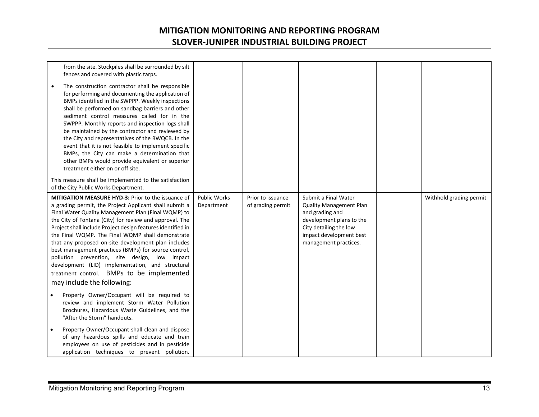| from the site. Stockpiles shall be surrounded by silt<br>fences and covered with plastic tarps.<br>The construction contractor shall be responsible<br>for performing and documenting the application of<br>BMPs identified in the SWPPP. Weekly inspections<br>shall be performed on sandbag barriers and other<br>sediment control measures called for in the<br>SWPPP. Monthly reports and inspection logs shall<br>be maintained by the contractor and reviewed by<br>the City and representatives of the RWQCB. In the<br>event that it is not feasible to implement specific<br>BMPs, the City can make a determination that<br>other BMPs would provide equivalent or superior<br>treatment either on or off site.                                                                                                                   |                                   |                                        |                                                                                                                                                                                     |                         |
|---------------------------------------------------------------------------------------------------------------------------------------------------------------------------------------------------------------------------------------------------------------------------------------------------------------------------------------------------------------------------------------------------------------------------------------------------------------------------------------------------------------------------------------------------------------------------------------------------------------------------------------------------------------------------------------------------------------------------------------------------------------------------------------------------------------------------------------------|-----------------------------------|----------------------------------------|-------------------------------------------------------------------------------------------------------------------------------------------------------------------------------------|-------------------------|
| This measure shall be implemented to the satisfaction<br>of the City Public Works Department.                                                                                                                                                                                                                                                                                                                                                                                                                                                                                                                                                                                                                                                                                                                                               |                                   |                                        |                                                                                                                                                                                     |                         |
| MITIGATION MEASURE HYD-3: Prior to the issuance of<br>a grading permit, the Project Applicant shall submit a<br>Final Water Quality Management Plan (Final WQMP) to<br>the City of Fontana (City) for review and approval. The<br>Project shall include Project design features identified in<br>the Final WQMP. The Final WQMP shall demonstrate<br>that any proposed on-site development plan includes<br>best management practices (BMPs) for source control,<br>pollution prevention, site design, low impact<br>development (LID) implementation, and structural<br>treatment control. BMPs to be implemented<br>may include the following:<br>Property Owner/Occupant will be required to<br>$\bullet$<br>review and implement Storm Water Pollution<br>Brochures, Hazardous Waste Guidelines, and the<br>"After the Storm" handouts. | <b>Public Works</b><br>Department | Prior to issuance<br>of grading permit | Submit a Final Water<br><b>Quality Management Plan</b><br>and grading and<br>development plans to the<br>City detailing the low<br>impact development best<br>management practices. | Withhold grading permit |
| Property Owner/Occupant shall clean and dispose<br>of any hazardous spills and educate and train<br>employees on use of pesticides and in pesticide<br>application techniques to prevent pollution.                                                                                                                                                                                                                                                                                                                                                                                                                                                                                                                                                                                                                                         |                                   |                                        |                                                                                                                                                                                     |                         |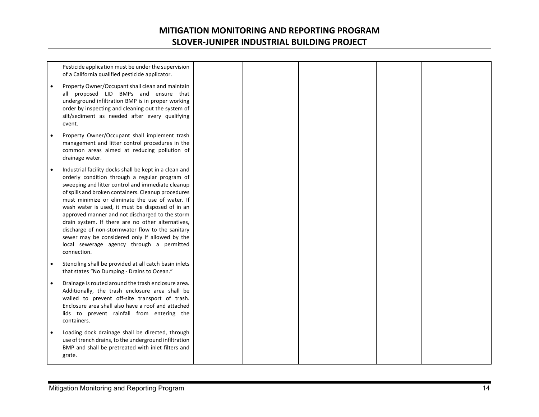|           | Pesticide application must be under the supervision<br>of a California qualified pesticide applicator.                                                                                                                                                                                                                                                                                                                                                                                                                                                                                                |  |  |  |
|-----------|-------------------------------------------------------------------------------------------------------------------------------------------------------------------------------------------------------------------------------------------------------------------------------------------------------------------------------------------------------------------------------------------------------------------------------------------------------------------------------------------------------------------------------------------------------------------------------------------------------|--|--|--|
| $\bullet$ | Property Owner/Occupant shall clean and maintain<br>all proposed LID BMPs and ensure that<br>underground infiltration BMP is in proper working<br>order by inspecting and cleaning out the system of<br>silt/sediment as needed after every qualifying<br>event.                                                                                                                                                                                                                                                                                                                                      |  |  |  |
| $\bullet$ | Property Owner/Occupant shall implement trash<br>management and litter control procedures in the<br>common areas aimed at reducing pollution of<br>drainage water.                                                                                                                                                                                                                                                                                                                                                                                                                                    |  |  |  |
| $\bullet$ | Industrial facility docks shall be kept in a clean and<br>orderly condition through a regular program of<br>sweeping and litter control and immediate cleanup<br>of spills and broken containers. Cleanup procedures<br>must minimize or eliminate the use of water. If<br>wash water is used, it must be disposed of in an<br>approved manner and not discharged to the storm<br>drain system. If there are no other alternatives,<br>discharge of non-stormwater flow to the sanitary<br>sewer may be considered only if allowed by the<br>local sewerage agency through a permitted<br>connection. |  |  |  |
| $\bullet$ | Stenciling shall be provided at all catch basin inlets<br>that states "No Dumping - Drains to Ocean."                                                                                                                                                                                                                                                                                                                                                                                                                                                                                                 |  |  |  |
| $\bullet$ | Drainage is routed around the trash enclosure area.<br>Additionally, the trash enclosure area shall be<br>walled to prevent off-site transport of trash.<br>Enclosure area shall also have a roof and attached<br>lids to prevent rainfall from entering the<br>containers.                                                                                                                                                                                                                                                                                                                           |  |  |  |
| $\bullet$ | Loading dock drainage shall be directed, through<br>use of trench drains, to the underground infiltration<br>BMP and shall be pretreated with inlet filters and<br>grate.                                                                                                                                                                                                                                                                                                                                                                                                                             |  |  |  |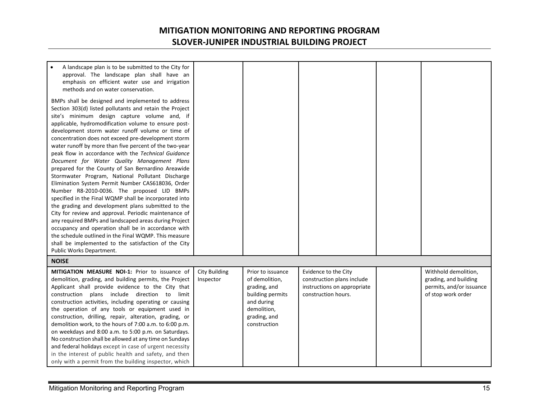| A landscape plan is to be submitted to the City for<br>approval. The landscape plan shall have an<br>emphasis on efficient water use and irrigation<br>methods and on water conservation.                                                                                                                                                                                                                                                                                                                                                                                                                                                                                                                                                                                                                                                                                                                                                                                                                                                                                                                                                          |                                   |                                                                                                                                      |                                                                                                          |                                                                                                 |
|----------------------------------------------------------------------------------------------------------------------------------------------------------------------------------------------------------------------------------------------------------------------------------------------------------------------------------------------------------------------------------------------------------------------------------------------------------------------------------------------------------------------------------------------------------------------------------------------------------------------------------------------------------------------------------------------------------------------------------------------------------------------------------------------------------------------------------------------------------------------------------------------------------------------------------------------------------------------------------------------------------------------------------------------------------------------------------------------------------------------------------------------------|-----------------------------------|--------------------------------------------------------------------------------------------------------------------------------------|----------------------------------------------------------------------------------------------------------|-------------------------------------------------------------------------------------------------|
| BMPs shall be designed and implemented to address<br>Section 303(d) listed pollutants and retain the Project<br>site's minimum design capture volume and, if<br>applicable, hydromodification volume to ensure post-<br>development storm water runoff volume or time of<br>concentration does not exceed pre-development storm<br>water runoff by more than five percent of the two-year<br>peak flow in accordance with the Technical Guidance<br>Document for Water Quality Management Plans<br>prepared for the County of San Bernardino Areawide<br>Stormwater Program, National Pollutant Discharge<br>Elimination System Permit Number CAS618036, Order<br>Number R8-2010-0036. The proposed LID BMPs<br>specified in the Final WQMP shall be incorporated into<br>the grading and development plans submitted to the<br>City for review and approval. Periodic maintenance of<br>any required BMPs and landscaped areas during Project<br>occupancy and operation shall be in accordance with<br>the schedule outlined in the Final WQMP. This measure<br>shall be implemented to the satisfaction of the City<br>Public Works Department. |                                   |                                                                                                                                      |                                                                                                          |                                                                                                 |
| <b>NOISE</b>                                                                                                                                                                                                                                                                                                                                                                                                                                                                                                                                                                                                                                                                                                                                                                                                                                                                                                                                                                                                                                                                                                                                       |                                   |                                                                                                                                      |                                                                                                          |                                                                                                 |
| MITIGATION MEASURE NOI-1: Prior to issuance of<br>demolition, grading, and building permits, the Project<br>Applicant shall provide evidence to the City that<br>construction plans include direction to limit<br>construction activities, including operating or causing<br>the operation of any tools or equipment used in<br>construction, drilling, repair, alteration, grading, or<br>demolition work, to the hours of 7:00 a.m. to 6:00 p.m.<br>on weekdays and 8:00 a.m. to 5:00 p.m. on Saturdays.<br>No construction shall be allowed at any time on Sundays<br>and federal holidays except in case of urgent necessity<br>in the interest of public health and safety, and then<br>only with a permit from the building inspector, which                                                                                                                                                                                                                                                                                                                                                                                                 | <b>City Building</b><br>Inspector | Prior to issuance<br>of demolition,<br>grading, and<br>building permits<br>and during<br>demolition,<br>grading, and<br>construction | Evidence to the City<br>construction plans include<br>instructions on appropriate<br>construction hours. | Withhold demolition,<br>grading, and building<br>permits, and/or issuance<br>of stop work order |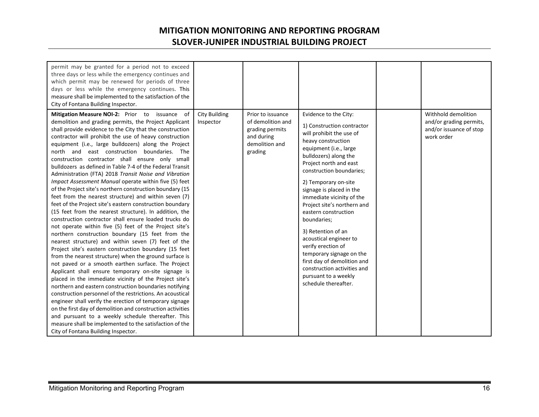| permit may be granted for a period not to exceed<br>three days or less while the emergency continues and<br>which permit may be renewed for periods of three<br>days or less while the emergency continues. This<br>measure shall be implemented to the satisfaction of the<br>City of Fontana Building Inspector.                                                                                                                                                                                                                                                                                                                                                                                                                                                                                                                                                                                                                                                                                                                                                                                                                                                                                                                                                                                                                                                                                                                                                                                                                                                                                                                                                                                                                                |                                   |                                                                                                      |                                                                                                                                                                                                                                                                                                                                                                                                                                                                                                                                                                                       |                                                                                         |
|---------------------------------------------------------------------------------------------------------------------------------------------------------------------------------------------------------------------------------------------------------------------------------------------------------------------------------------------------------------------------------------------------------------------------------------------------------------------------------------------------------------------------------------------------------------------------------------------------------------------------------------------------------------------------------------------------------------------------------------------------------------------------------------------------------------------------------------------------------------------------------------------------------------------------------------------------------------------------------------------------------------------------------------------------------------------------------------------------------------------------------------------------------------------------------------------------------------------------------------------------------------------------------------------------------------------------------------------------------------------------------------------------------------------------------------------------------------------------------------------------------------------------------------------------------------------------------------------------------------------------------------------------------------------------------------------------------------------------------------------------|-----------------------------------|------------------------------------------------------------------------------------------------------|---------------------------------------------------------------------------------------------------------------------------------------------------------------------------------------------------------------------------------------------------------------------------------------------------------------------------------------------------------------------------------------------------------------------------------------------------------------------------------------------------------------------------------------------------------------------------------------|-----------------------------------------------------------------------------------------|
| Mitigation Measure NOI-2: Prior to issuance of<br>demolition and grading permits, the Project Applicant<br>shall provide evidence to the City that the construction<br>contractor will prohibit the use of heavy construction<br>equipment (i.e., large bulldozers) along the Project<br>north and east construction boundaries. The<br>construction contractor shall ensure only small<br>bulldozers as defined in Table 7-4 of the Federal Transit<br>Administration (FTA) 2018 Transit Noise and Vibration<br>Impact Assessment Manual operate within five (5) feet<br>of the Project site's northern construction boundary (15<br>feet from the nearest structure) and within seven (7)<br>feet of the Project site's eastern construction boundary<br>(15 feet from the nearest structure). In addition, the<br>construction contractor shall ensure loaded trucks do<br>not operate within five (5) feet of the Project site's<br>northern construction boundary (15 feet from the<br>nearest structure) and within seven (7) feet of the<br>Project site's eastern construction boundary (15 feet<br>from the nearest structure) when the ground surface is<br>not paved or a smooth earthen surface. The Project<br>Applicant shall ensure temporary on-site signage is<br>placed in the immediate vicinity of the Project site's<br>northern and eastern construction boundaries notifying<br>construction personnel of the restrictions. An acoustical<br>engineer shall verify the erection of temporary signage<br>on the first day of demolition and construction activities<br>and pursuant to a weekly schedule thereafter. This<br>measure shall be implemented to the satisfaction of the<br>City of Fontana Building Inspector. | <b>City Building</b><br>Inspector | Prior to issuance<br>of demolition and<br>grading permits<br>and during<br>demolition and<br>grading | Evidence to the City:<br>1) Construction contractor<br>will prohibit the use of<br>heavy construction<br>equipment (i.e., large<br>bulldozers) along the<br>Project north and east<br>construction boundaries;<br>2) Temporary on-site<br>signage is placed in the<br>immediate vicinity of the<br>Project site's northern and<br>eastern construction<br>boundaries;<br>3) Retention of an<br>acoustical engineer to<br>verify erection of<br>temporary signage on the<br>first day of demolition and<br>construction activities and<br>pursuant to a weekly<br>schedule thereafter. | Withhold demolition<br>and/or grading permits,<br>and/or issuance of stop<br>work order |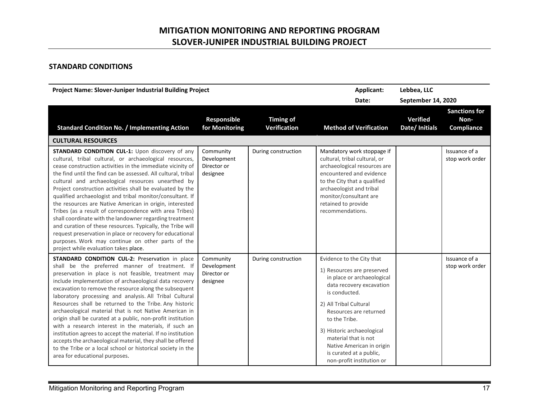#### **STANDARD CONDITIONS**

| Project Name: Slover-Juniper Industrial Building Project                                                                                                                                                                                                                                                                                                                                                                                                                                                                                                                                                                                                                                                                                                                                                                            |                                                     |                                         | Applicant:<br>Date:                                                                                                                                                                                                                                                                                                                                | Lebbea, LLC<br>September 14, 2020 |                                            |
|-------------------------------------------------------------------------------------------------------------------------------------------------------------------------------------------------------------------------------------------------------------------------------------------------------------------------------------------------------------------------------------------------------------------------------------------------------------------------------------------------------------------------------------------------------------------------------------------------------------------------------------------------------------------------------------------------------------------------------------------------------------------------------------------------------------------------------------|-----------------------------------------------------|-----------------------------------------|----------------------------------------------------------------------------------------------------------------------------------------------------------------------------------------------------------------------------------------------------------------------------------------------------------------------------------------------------|-----------------------------------|--------------------------------------------|
| <b>Standard Condition No. / Implementing Action</b>                                                                                                                                                                                                                                                                                                                                                                                                                                                                                                                                                                                                                                                                                                                                                                                 | Responsible<br>for Monitoring                       | <b>Timing of</b><br><b>Verification</b> | <b>Method of Verification</b>                                                                                                                                                                                                                                                                                                                      | <b>Verified</b><br>Date/ Initials | <b>Sanctions for</b><br>Non-<br>Compliance |
| <b>CULTURAL RESOURCES</b>                                                                                                                                                                                                                                                                                                                                                                                                                                                                                                                                                                                                                                                                                                                                                                                                           |                                                     |                                         |                                                                                                                                                                                                                                                                                                                                                    |                                   |                                            |
| STANDARD CONDITION CUL-1: Upon discovery of any<br>cultural, tribal cultural, or archaeological resources,<br>cease construction activities in the immediate vicinity of<br>the find until the find can be assessed. All cultural, tribal<br>cultural and archaeological resources unearthed by<br>Project construction activities shall be evaluated by the<br>qualified archaeologist and tribal monitor/consultant. If<br>the resources are Native American in origin, interested<br>Tribes (as a result of correspondence with area Tribes)<br>shall coordinate with the landowner regarding treatment<br>and curation of these resources. Typically, the Tribe will<br>request preservation in place or recovery for educational<br>purposes. Work may continue on other parts of the<br>project while evaluation takes place. | Community<br>Development<br>Director or<br>designee | During construction                     | Mandatory work stoppage if<br>cultural, tribal cultural, or<br>archaeological resources are<br>encountered and evidence<br>to the City that a qualified<br>archaeologist and tribal<br>monitor/consultant are<br>retained to provide<br>recommendations.                                                                                           |                                   | Issuance of a<br>stop work order           |
| <b>STANDARD CONDITION CUL-2: Preservation in place</b><br>shall be the preferred manner of treatment. If<br>preservation in place is not feasible, treatment may<br>include implementation of archaeological data recovery<br>excavation to remove the resource along the subsequent<br>laboratory processing and analysis. All Tribal Cultural<br>Resources shall be returned to the Tribe. Any historic<br>archaeological material that is not Native American in<br>origin shall be curated at a public, non-profit institution<br>with a research interest in the materials, if such an<br>institution agrees to accept the material. If no institution<br>accepts the archaeological material, they shall be offered<br>to the Tribe or a local school or historical society in the<br>area for educational purposes.          | Community<br>Development<br>Director or<br>designee | During construction                     | Evidence to the City that<br>1) Resources are preserved<br>in place or archaeological<br>data recovery excavation<br>is conducted.<br>2) All Tribal Cultural<br>Resources are returned<br>to the Tribe.<br>3) Historic archaeological<br>material that is not<br>Native American in origin<br>is curated at a public,<br>non-profit institution or |                                   | Issuance of a<br>stop work order           |